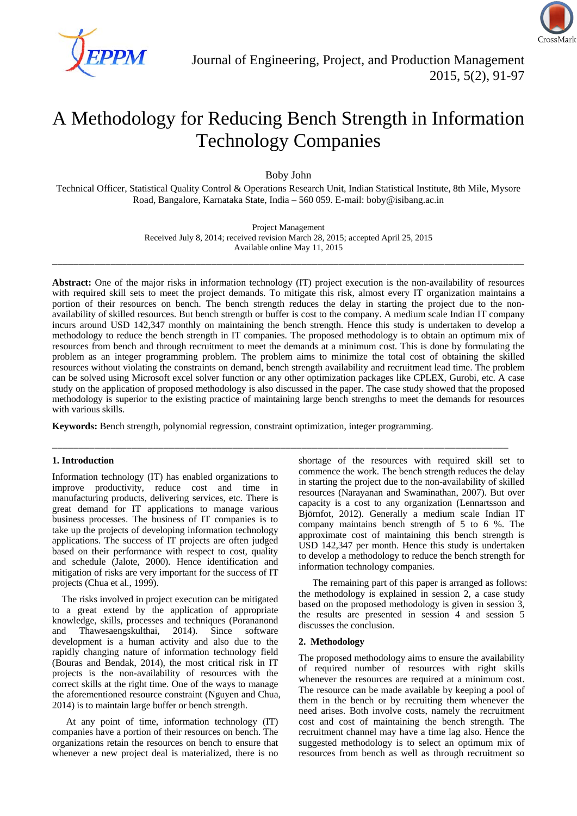

# A Methodology for Reducing Bench Strength in Information Technology Companies

Boby John

Technical Officer, Statistical Quality Control & Operations Research Unit, Indian Statistical Institute, 8th Mile, Mysore Road, Bangalore, Karnataka State, India – 560 059. E-mail: boby@isibang.ac.in

> Project Management Received July 8, 2014; received revision March 28, 2015; accepted April 25, 2015 Available online May 11, 2015

\_\_\_\_\_\_\_\_\_\_\_\_\_\_\_\_\_\_\_\_\_\_\_\_\_\_\_\_\_\_\_\_\_\_\_\_\_\_\_\_\_\_\_\_\_\_\_\_\_\_\_\_\_\_\_\_\_\_\_\_\_\_\_\_\_\_\_\_\_\_\_\_\_\_\_\_\_\_\_\_\_\_\_\_\_\_\_\_\_

**Abstract:** One of the major risks in information technology (IT) project execution is the non-availability of resources with required skill sets to meet the project demands. To mitigate this risk, almost every IT organization maintains a portion of their resources on bench. The bench strength reduces the delay in starting the project due to the nonavailability of skilled resources. But bench strength or buffer is cost to the company. A medium scale Indian IT company incurs around USD 142,347 monthly on maintaining the bench strength. Hence this study is undertaken to develop a methodology to reduce the bench strength in IT companies. The proposed methodology is to obtain an optimum mix of resources from bench and through recruitment to meet the demands at a minimum cost. This is done by formulating the problem as an integer programming problem. The problem aims to minimize the total cost of obtaining the skilled resources without violating the constraints on demand, bench strength availability and recruitment lead time. The problem can be solved using Microsoft excel solver function or any other optimization packages like CPLEX, Gurobi, etc. A case study on the application of proposed methodology is also discussed in the paper. The case study showed that the proposed methodology is superior to the existing practice of maintaining large bench strengths to meet the demands for resources with various skills.

\_\_\_\_\_\_\_\_\_\_\_\_\_\_\_\_\_\_\_\_\_\_\_\_\_\_\_\_\_\_\_\_\_\_\_\_\_\_\_\_\_\_\_\_\_\_\_\_\_\_\_\_\_\_\_\_\_\_\_\_\_\_\_\_\_\_\_\_\_\_\_\_\_\_\_\_\_\_\_\_\_\_\_\_\_\_

**Keywords:** Bench strength, polynomial regression, constraint optimization, integer programming.

## **1. Introduction**

Information technology (IT) has enabled organizations to improve productivity, reduce cost and time in manufacturing products, delivering services, etc. There is great demand for IT applications to manage various business processes. The business of IT companies is to take up the projects of developing information technology applications. The success of IT projects are often judged based on their performance with respect to cost, quality and schedule (Jalote, 2000). Hence identification and mitigation of risks are very important for the success of IT projects (Chua et al., 1999).

The risks involved in project execution can be mitigated to a great extend by the application of appropriate knowledge, skills, processes and techniques (Porananond and Thawesaengskulthai, 2014). Since software development is a human activity and also due to the rapidly changing nature of information technology field (Bouras and Bendak, 2014), the most critical risk in IT projects is the non-availability of resources with the correct skills at the right time. One of the ways to manage the aforementioned resource constraint (Nguyen and Chua, 2014) is to maintain large buffer or bench strength.

At any point of time, information technology (IT) companies have a portion of their resources on bench. The organizations retain the resources on bench to ensure that whenever a new project deal is materialized, there is no

shortage of the resources with required skill set to commence the work. The bench strength reduces the delay in starting the project due to the non-availability of skilled resources (Narayanan and Swaminathan, 2007). But over capacity is a cost to any organization (Lennartsson and Björnfot, 2012). Generally a medium scale Indian IT company maintains bench strength of 5 to 6 %. The approximate cost of maintaining this bench strength is USD 142,347 per month. Hence this study is undertaken to develop a methodology to reduce the bench strength for information technology companies.

The remaining part of this paper is arranged as follows: the methodology is explained in session 2, a case study based on the proposed methodology is given in session 3, the results are presented in session 4 and session 5 discusses the conclusion.

## **2. Methodology**

The proposed methodology aims to ensure the availability of required number of resources with right skills whenever the resources are required at a minimum cost. The resource can be made available by keeping a pool of them in the bench or by recruiting them whenever the need arises. Both involve costs, namely the recruitment cost and cost of maintaining the bench strength. The recruitment channel may have a time lag also. Hence the suggested methodology is to select an optimum mix of resources from bench as well as through recruitment so

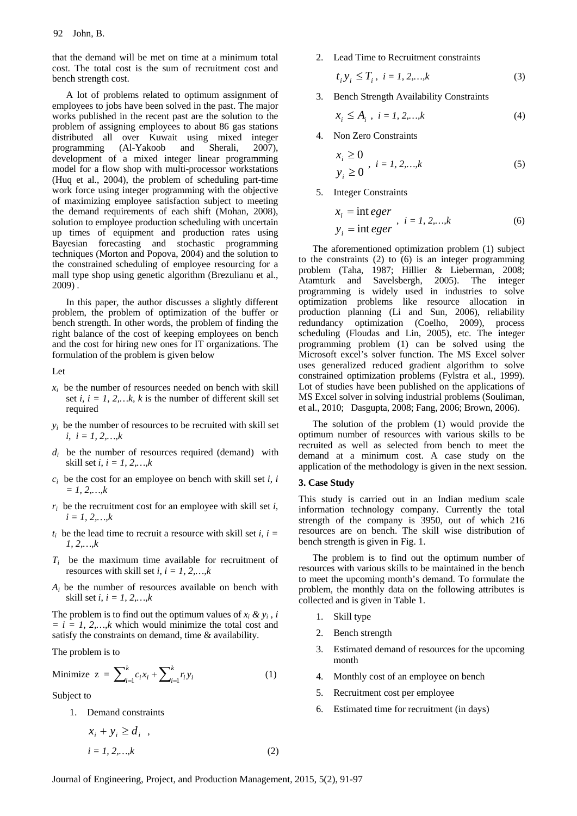that the demand will be met on time at a minimum total cost. The total cost is the sum of recruitment cost and bench strength cost.

A lot of problems related to optimum assignment of employees to jobs have been solved in the past. The major works published in the recent past are the solution to the problem of assigning employees to about 86 gas stations distributed all over Kuwait using mixed integer programming (Al-Yakoob and Sherali, 2007), development of a mixed integer linear programming model for a flow shop with multi-processor workstations (Huq et al., 2004), the problem of scheduling part-time work force using integer programming with the objective of maximizing employee satisfaction subject to meeting the demand requirements of each shift (Mohan, 2008), solution to employee production scheduling with uncertain up times of equipment and production rates using Bayesian forecasting and stochastic programming techniques (Morton and Popova, 2004) and the solution to the constrained scheduling of employee resourcing for a mall type shop using genetic algorithm (Brezulianu et al., 2009) .

In this paper, the author discusses a slightly different problem, the problem of optimization of the buffer or bench strength. In other words, the problem of finding the right balance of the cost of keeping employees on bench and the cost for hiring new ones for IT organizations. The formulation of the problem is given below

Let

- *xi* be the number of resources needed on bench with skill set  $i, i = 1, 2, \ldots, k$ ,  $k$  is the number of different skill set required
- $y_i$  be the number of resources to be recruited with skill set *i*, *i = 1, 2,…,k*
- $d_i$  be the number of resources required (demand) with skill set *i*, *i = 1, 2,…,k*
- $c_i$  be the cost for an employee on bench with skill set *i*, *i = 1, 2,…,k*
- *ri* be the recruitment cost for an employee with skill set *i*, *i = 1, 2,…,k*
- $t_i$  be the lead time to recruit a resource with skill set *i*, *i* = *1, 2,…,k*
- *Ti* be the maximum time available for recruitment of resources with skill set  $i, i = 1, 2, \ldots, k$
- $A_i$  be the number of resources available on bench with skill set *i*, *i = 1, 2,…,k*

The problem is to find out the optimum values of  $x_i \& y_i$ , *i*  $= i = 1, 2, \ldots, k$  which would minimize the total cost and satisfy the constraints on demand, time & availability.

The problem is to

Minimize 
$$
z = \sum_{i=1}^{k} c_i x_i + \sum_{i=1}^{k} r_i y_i
$$
 (1)

Subject to

1. Demand constraints

$$
x_i + y_i \ge d_i ,
$$
  

$$
i = 1, 2, \dots, k
$$
 (2)

2. Lead Time to Recruitment constraints

$$
t_i y_i \le T_i, \ i = 1, 2, \dots, k \tag{3}
$$

3. Bench Strength Availability Constraints

$$
x_i \le A_i, \ i = 1, 2, \dots, k \tag{4}
$$

4. Non Zero Constraints

$$
x_i \ge 0
$$
  

$$
y_i \ge 0, \quad i = 1, 2, ..., k
$$
 (5)

5. Integer Constraints

$$
x_i = \text{int} eger
$$
  
\n
$$
y_i = \text{int} eger
$$
,  $i = 1, 2, \dots, k$  (6)

The aforementioned optimization problem (1) subject to the constraints (2) to (6) is an integer programming problem (Taha, 1987; Hillier & Lieberman, 2008; Atamturk and Savelsbergh, 2005). The integer programming is widely used in industries to solve optimization problems like resource allocation in production planning (Li and Sun, 2006), reliability redundancy optimization (Coelho, 2009), process scheduling (Floudas and Lin, 2005), etc. The integer programming problem (1) can be solved using the Microsoft excel's solver function. The MS Excel solver uses generalized reduced gradient algorithm to solve constrained optimization problems (Fylstra et al., 1999). Lot of studies have been published on the applications of MS Excel solver in solving industrial problems (Souliman, et al., 2010; Dasgupta, 2008; Fang, 2006; Brown, 2006).

The solution of the problem (1) would provide the optimum number of resources with various skills to be recruited as well as selected from bench to meet the demand at a minimum cost. A case study on the application of the methodology is given in the next session.

## **3. Case Study**

This study is carried out in an Indian medium scale information technology company. Currently the total strength of the company is 3950, out of which 216 resources are on bench. The skill wise distribution of bench strength is given in Fig. 1.

The problem is to find out the optimum number of resources with various skills to be maintained in the bench to meet the upcoming month's demand. To formulate the problem, the monthly data on the following attributes is collected and is given in Table 1.

- 1. Skill type
- 2. Bench strength
- 3. Estimated demand of resources for the upcoming month
- 4. Monthly cost of an employee on bench
- 5. Recruitment cost per employee
- 6. Estimated time for recruitment (in days)
- Journal of Engineering, Project, and Production Management, 2015, 5(2), 91-97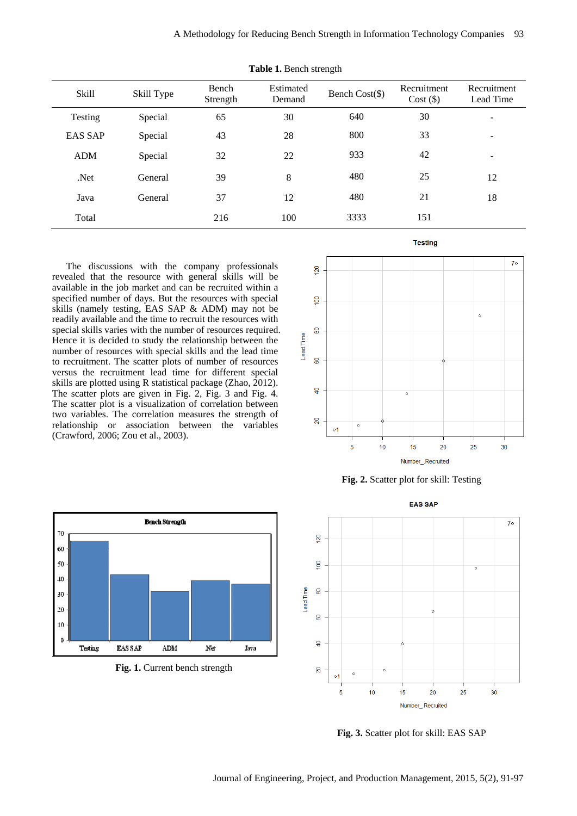| Skill          | Skill Type | Bench<br>Strength | Estimated<br>Demand | Bench Cost(\$) | Recruitment<br>$Cost (\$)$ | Recruitment<br>Lead Time     |
|----------------|------------|-------------------|---------------------|----------------|----------------------------|------------------------------|
| Testing        | Special    | 65                | 30                  | 640            | 30                         |                              |
| <b>EAS SAP</b> | Special    | 43                | 28                  | 800            | 33                         | -                            |
| <b>ADM</b>     | Special    | 32                | 22                  | 933            | 42                         | $\qquad \qquad \blacksquare$ |
| .Net           | General    | 39                | 8                   | 480            | 25                         | 12                           |
| Java           | General    | 37                | 12                  | 480            | 21                         | 18                           |
| Total          |            | 216               | 100                 | 3333           | 151                        |                              |

**Table 1.** Bench strength

The discussions with the company professionals revealed that the resource with general skills will be available in the job market and can be recruited within a specified number of days. But the resources with special skills (namely testing, EAS SAP & ADM) may not be readily available and the time to recruit the resources with special skills varies with the number of resources required. Hence it is decided to study the relationship between the number of resources with special skills and the lead time to recruitment. The scatter plots of number of resources versus the recruitment lead time for different special skills are plotted using R statistical package (Zhao, 2012). The scatter plots are given in Fig. 2, Fig. 3 and Fig. 4. The scatter plot is a visualization of correlation between two variables. The correlation measures the strength of relationship or association between the variables (Crawford, 2006; Zou et al., 2003).



**Fig. 2.** Scatter plot for skill: Testing



**Fig. 1.** Current bench strength

**EAS SAP** 



**Fig. 3.** Scatter plot for skill: EAS SAP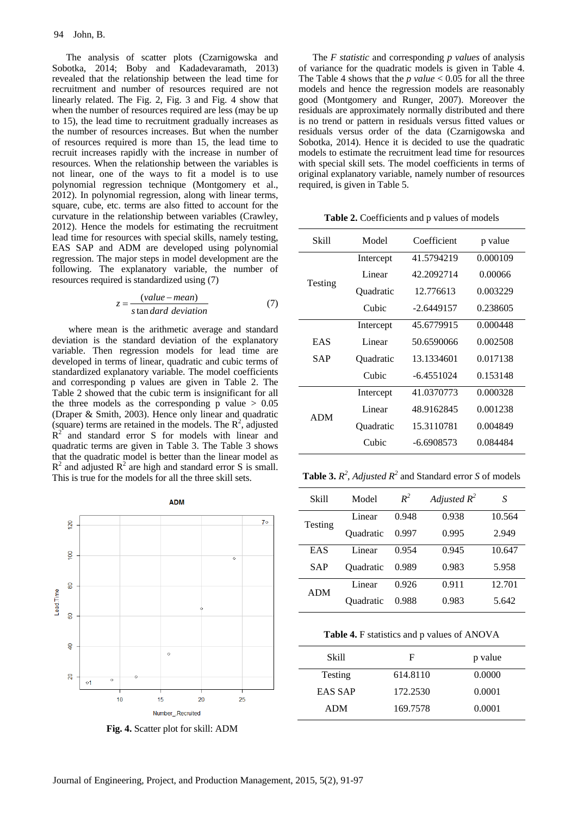The analysis of scatter plots (Czarnigowska and Sobotka, 2014; Boby and Kadadevaramath, 2013) revealed that the relationship between the lead time for recruitment and number of resources required are not linearly related. The Fig. 2, Fig. 3 and Fig. 4 show that when the number of resources required are less (may be up to 15), the lead time to recruitment gradually increases as the number of resources increases. But when the number of resources required is more than 15, the lead time to recruit increases rapidly with the increase in number of resources. When the relationship between the variables is not linear, one of the ways to fit a model is to use polynomial regression technique (Montgomery et al., 2012). In polynomial regression, along with linear terms, square, cube, etc. terms are also fitted to account for the curvature in the relationship between variables (Crawley, 2012). Hence the models for estimating the recruitment lead time for resources with special skills, namely testing, EAS SAP and ADM are developed using polynomial regression. The major steps in model development are the following. The explanatory variable, the number of resources required is standardized using (7)

$$
z = \frac{(value - mean)}{s \tan \operatorname{d}\operatorname{ar}\operatorname{d}\operatorname{e}\operatorname{viation}}\tag{7}
$$

 where mean is the arithmetic average and standard deviation is the standard deviation of the explanatory variable. Then regression models for lead time are developed in terms of linear, quadratic and cubic terms of standardized explanatory variable. The model coefficients and corresponding p values are given in Table 2. The Table 2 showed that the cubic term is insignificant for all the three models as the corresponding p value  $> 0.05$ (Draper & Smith, 2003). Hence only linear and quadratic (square) terms are retained in the models. The  $\mathbb{R}^2$ , adjusted  $R<sup>2</sup>$  and standard error S for models with linear and quadratic terms are given in Table 3. The Table 3 shows that the quadratic model is better than the linear model as  $R^2$  and adjusted  $R^2$  are high and standard error S is small. This is true for the models for all the three skill sets.



**Fig. 4.** Scatter plot for skill: ADM

The *F statistic* and corresponding *p values* of analysis of variance for the quadratic models is given in Table 4. The Table 4 shows that the  $p$  value  $< 0.05$  for all the three models and hence the regression models are reasonably good (Montgomery and Runger, 2007). Moreover the residuals are approximately normally distributed and there is no trend or pattern in residuals versus fitted values or residuals versus order of the data (Czarnigowska and Sobotka, 2014). Hence it is decided to use the quadratic models to estimate the recruitment lead time for resources with special skill sets. The model coefficients in terms of original explanatory variable, namely number of resources required, is given in Table 5.

**Table 2.** Coefficients and p values of models

| Skill      | Model     | Coefficient  | p value  |
|------------|-----------|--------------|----------|
|            | Intercept | 41.5794219   | 0.000109 |
| Testing    | Linear    | 42.2092714   | 0.00066  |
|            | Ouadratic | 12.776613    | 0.003229 |
|            | Cubic     | $-2.6449157$ | 0.238605 |
|            | Intercept | 45.6779915   | 0.000448 |
| EAS        | Linear    | 50.6590066   | 0.002508 |
| SAP        | Quadratic | 13.1334601   | 0.017138 |
|            | Cubic     | $-6.4551024$ | 0.153148 |
|            | Intercept | 41.0370773   | 0.000328 |
| <b>ADM</b> | Linear    | 48.9162845   | 0.001238 |
|            | Ouadratic | 15.3110781   | 0.004849 |
|            | Cubic     | $-6.6908573$ | 0.084484 |

**Table 3.**  $R^2$ , *Adjusted*  $R^2$  and Standard error *S* of models

| <b>Skill</b> | Model     | $R^2$ | Adjusted $R^2$ | S      |
|--------------|-----------|-------|----------------|--------|
| Testing      | Linear    | 0.948 | 0.938          | 10.564 |
|              | Ouadratic | 0.997 | 0.995          | 2.949  |
| EAS          | Linear    | 0.954 | 0.945          | 10.647 |
| <b>SAP</b>   | Ouadratic | 0.989 | 0.983          | 5.958  |
| <b>ADM</b>   | Linear    | 0.926 | 0.911          | 12.701 |
|              | Ouadratic | 0.988 | 0.983          | 5.642  |

**Table 4.** F statistics and p values of ANOVA

| Skill          | F        | p value |
|----------------|----------|---------|
| Testing        | 614.8110 | 0.0000  |
| <b>EAS SAP</b> | 172.2530 | 0.0001  |
| ADM            | 169.7578 | 0.0001  |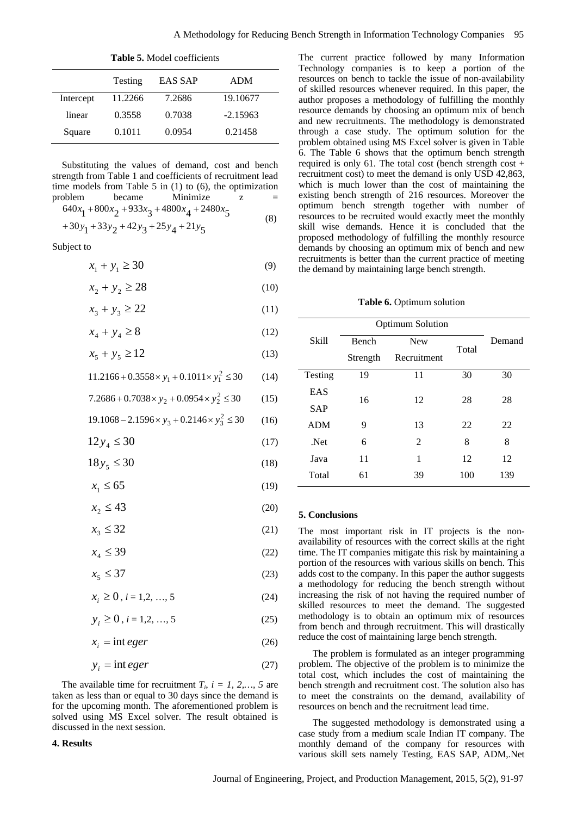|           | <b>FAUL D. BRUGG COUTIGIUS</b> |         |            |  |
|-----------|--------------------------------|---------|------------|--|
|           | Testing                        | EAS SAP | ADM        |  |
| Intercept | 11.2266                        | 7.2686  | 19.10677   |  |
| linear    | 0.3558                         | 0.7038  | $-2.15963$ |  |
| Square    | 0.1011                         | 0.0954  | 0.21458    |  |

**Table 5.** Model coefficients

Substituting the values of demand, cost and bench strength from Table 1 and coefficients of recruitment lead time models from Table 5 in (1) to (6), the optimization problem became Minimize z =  $+30y_1 + 33y_2 + 42y_3 + 25y_4 + 21y_5$  $640x_1 + 800x_2 + 933x_3 + 4800x_4 + 2480x_5$ (8)

Subject to

$$
x_1 + y_1 \ge 30\tag{9}
$$

$$
x_2 + y_2 \ge 28 \tag{10}
$$

$$
x_3 + y_3 \ge 22\tag{11}
$$

 $x_4 + y_4 \ge 8$  (12)

$$
x_5 + y_5 \ge 12\tag{13}
$$

$$
11.2166 + 0.3558 \times y_1 + 0.1011 \times y_1^2 \le 30 \tag{14}
$$

$$
7.2686 + 0.7038 \times y_2 + 0.0954 \times y_2^2 \le 30
$$
 (15)  
19.1068 - 2.1596 × y<sub>2</sub> + 0.2146 × y<sub>2</sub><sup>2</sup>  $\le$  30 (16)

$$
5.1232 \pm 1.123 \pm 7.5
$$

$$
12y_4 \le 30\tag{17}
$$

$$
18y_5 \le 30\tag{18}
$$

$$
x_1 \le 65 \tag{19}
$$

$$
x_2 \le 43\tag{20}
$$

$$
x_3 \le 32\tag{21}
$$

$$
x_4 \le 39\tag{22}
$$

$$
x_5 \le 37\tag{23}
$$

$$
x_i \ge 0, i = 1, 2, ..., 5
$$
 (24)

$$
y_i \ge 0, i = 1, 2, ..., 5
$$
 (25)

$$
x_i = \text{int} eger \tag{26}
$$

$$
y_i = \text{int} eger \tag{27}
$$

The available time for recruitment  $T_i$ ,  $i = 1, 2, \ldots, 5$  are taken as less than or equal to 30 days since the demand is for the upcoming month. The aforementioned problem is solved using MS Excel solver. The result obtained is discussed in the next session.

# **4. Results**

The current practice followed by many Information Technology companies is to keep a portion of the resources on bench to tackle the issue of non-availability of skilled resources whenever required. In this paper, the author proposes a methodology of fulfilling the monthly resource demands by choosing an optimum mix of bench and new recruitments. The methodology is demonstrated through a case study. The optimum solution for the problem obtained using MS Excel solver is given in Table 6. The Table 6 shows that the optimum bench strength required is only 61. The total cost (bench strength cost  $+$ recruitment cost) to meet the demand is only USD 42,863, which is much lower than the cost of maintaining the existing bench strength of 216 resources. Moreover the optimum bench strength together with number of resources to be recruited would exactly meet the monthly skill wise demands. Hence it is concluded that the proposed methodology of fulfilling the monthly resource demands by choosing an optimum mix of bench and new recruitments is better than the current practice of meeting the demand by maintaining large bench strength.

## **Table 6.** Optimum solution

|              | <b>Optimum Solution</b> |                |       |        |
|--------------|-------------------------|----------------|-------|--------|
| <b>Skill</b> | Bench                   | <b>New</b>     |       | Demand |
|              | Strength                | Recruitment    | Total |        |
| Testing      | 19                      | 11             | 30    | 30     |
| EAS          | 16                      | 12             | 28    | 28     |
| <b>SAP</b>   |                         |                |       |        |
| <b>ADM</b>   | 9                       | 13             | 22    | 22     |
| Net.         | 6                       | $\mathfrak{D}$ | 8     | 8      |
| Java         | 11                      | 1              | 12    | 12     |
| Total        | 61                      | 39             | 100   | 139    |

## **5. Conclusions**

The most important risk in IT projects is the nonavailability of resources with the correct skills at the right time. The IT companies mitigate this risk by maintaining a portion of the resources with various skills on bench. This adds cost to the company. In this paper the author suggests a methodology for reducing the bench strength without increasing the risk of not having the required number of skilled resources to meet the demand. The suggested methodology is to obtain an optimum mix of resources from bench and through recruitment. This will drastically reduce the cost of maintaining large bench strength.

The problem is formulated as an integer programming problem. The objective of the problem is to minimize the total cost, which includes the cost of maintaining the bench strength and recruitment cost. The solution also has to meet the constraints on the demand, availability of resources on bench and the recruitment lead time.

The suggested methodology is demonstrated using a case study from a medium scale Indian IT company. The monthly demand of the company for resources with various skill sets namely Testing, EAS SAP, ADM,.Net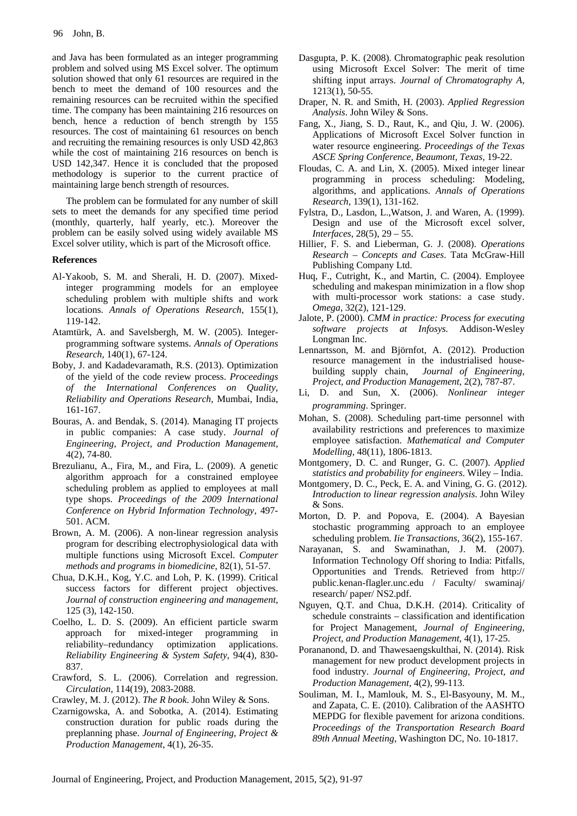and Java has been formulated as an integer programming problem and solved using MS Excel solver. The optimum solution showed that only 61 resources are required in the bench to meet the demand of 100 resources and the remaining resources can be recruited within the specified time. The company has been maintaining 216 resources on bench, hence a reduction of bench strength by 155 resources. The cost of maintaining 61 resources on bench and recruiting the remaining resources is only USD 42,863 while the cost of maintaining 216 resources on bench is USD 142,347. Hence it is concluded that the proposed methodology is superior to the current practice of maintaining large bench strength of resources.

The problem can be formulated for any number of skill sets to meet the demands for any specified time period (monthly, quarterly, half yearly, etc.). Moreover the problem can be easily solved using widely available MS Excel solver utility, which is part of the Microsoft office.

# **References**

- Al-Yakoob, S. M. and Sherali, H. D. (2007). Mixedinteger programming models for an employee scheduling problem with multiple shifts and work locations. *Annals of Operations Research*, 155(1), 119-142.
- Atamtürk, A. and Savelsbergh, M. W. (2005). Integerprogramming software systems. *Annals of Operations Research*, 140(1), 67-124.
- Boby, J. and Kadadevaramath, R.S. (2013). Optimization of the yield of the code review process. *Proceedings of the International Conferences on Quality, Reliability and Operations Research*, Mumbai, India, 161-167.
- Bouras, A. and Bendak, S. (2014). Managing IT projects in public companies: A case study. *Journal of Engineering, Project, and Production Management*, 4(2), 74-80.
- Brezulianu, A., Fira, M., and Fira, L. (2009). A genetic algorithm approach for a constrained employee scheduling problem as applied to employees at mall type shops. *Proceedings of the 2009 International Conference on Hybrid Information Technology*, 497- 501. ACM.
- Brown, A. M. (2006). A non-linear regression analysis program for describing electrophysiological data with multiple functions using Microsoft Excel. *Computer methods and programs in biomedicine*, 82(1), 51-57.
- Chua, D.K.H., Kog, Y.C. and Loh, P. K. (1999). Critical success factors for different project objectives. *Journal of construction engineering and management*, 125 (3), 142-150.
- Coelho, L. D. S. (2009). An efficient particle swarm approach for mixed-integer programming in reliability–redundancy optimization applications. *Reliability Engineering & System Safety*, 94(4), 830- 837.
- Crawford, S. L. (2006). Correlation and regression. *Circulation*, 114(19), 2083-2088.

Crawley, M. J. (2012). *The R book*. John Wiley & Sons.

Czarnigowska, A. and Sobotka, A. (2014). Estimating construction duration for public roads during the preplanning phase. *Journal of Engineering, Project & Production Management*, 4(1), 26-35.

- Dasgupta, P. K. (2008). Chromatographic peak resolution using Microsoft Excel Solver: The merit of time shifting input arrays. *Journal of Chromatography A*, 1213(1), 50-55.
- Draper, N. R. and Smith, H. (2003). *Applied Regression Analysis*. John Wiley & Sons.
- Fang, X., Jiang, S. D., Raut, K., and Qiu, J. W. (2006). Applications of Microsoft Excel Solver function in water resource engineering. *Proceedings of the Texas ASCE Spring Conference, Beaumont, Texas,* 19-22.
- Floudas, C. A. and Lin, X. (2005). Mixed integer linear programming in process scheduling: Modeling, algorithms, and applications. *Annals of Operations Research*, 139(1), 131-162.
- Fylstra, D., Lasdon, L.,Watson, J. and Waren, A. (1999). Design and use of the Microsoft excel solver, *Interfaces*, 28(5), 29 – 55.
- Hillier, F. S. and Lieberman, G. J. (2008). *Operations Research – Concepts and Cases*. Tata McGraw-Hill Publishing Company Ltd.
- Huq, F., Cutright, K., and Martin, C. (2004). Employee scheduling and makespan minimization in a flow shop with multi-processor work stations: a case study. *Omega*, 32(2), 121-129.
- Jalote, P. (2000). *CMM in practice: Process for executing software projects at Infosys.* Addison-Wesley Longman Inc.
- Lennartsson, M. and Björnfot, A. (2012). Production resource management in the industrialised housebuilding supply chain, *Journal of Engineering, Project, and Production Management*, 2(2), 787-87.
- Li, D. and Sun, X. (2006). *Nonlinear integer programming*. Springer.
- Mohan, S. (2008). Scheduling part-time personnel with availability restrictions and preferences to maximize employee satisfaction. *Mathematical and Computer Modelling*, 48(11), 1806-1813.
- Montgomery, D. C. and Runger, G. C. (2007). *Applied statistics and probability for engineers*. Wiley – India.
- Montgomery, D. C., Peck, E. A. and Vining, G. G. (2012). *Introduction to linear regression analysis*. John Wiley & Sons.
- Morton, D. P. and Popova, E. (2004). A Bayesian stochastic programming approach to an employee scheduling problem. *Iie Transactions*, 36(2), 155-167.
- Narayanan, S. and Swaminathan, J. M. (2007). Information Technology Off shoring to India: Pitfalls, Opportunities and Trends. Retrieved from http:// public.kenan-flagler.unc.edu / Faculty/ swaminaj/ research/ paper/ NS2.pdf.
- Nguyen, Q.T. and Chua, D.K.H. (2014). Criticality of schedule constraints – classification and identification for Project Management, *Journal of Engineering, Project, and Production Management*, 4(1), 17-25.
- Porananond, D. and Thawesaengskulthai, N. (2014). Risk management for new product development projects in food industry. *Journal of Engineering, Project, and Production Management*, 4(2), 99-113.
- Souliman, M. I., Mamlouk, M. S., El-Basyouny, M. M., and Zapata, C. E. (2010). Calibration of the AASHTO MEPDG for flexible pavement for arizona conditions. *Proceedings of the Transportation Research Board 89th Annual Meeting*, Washington DC, No. 10-1817.